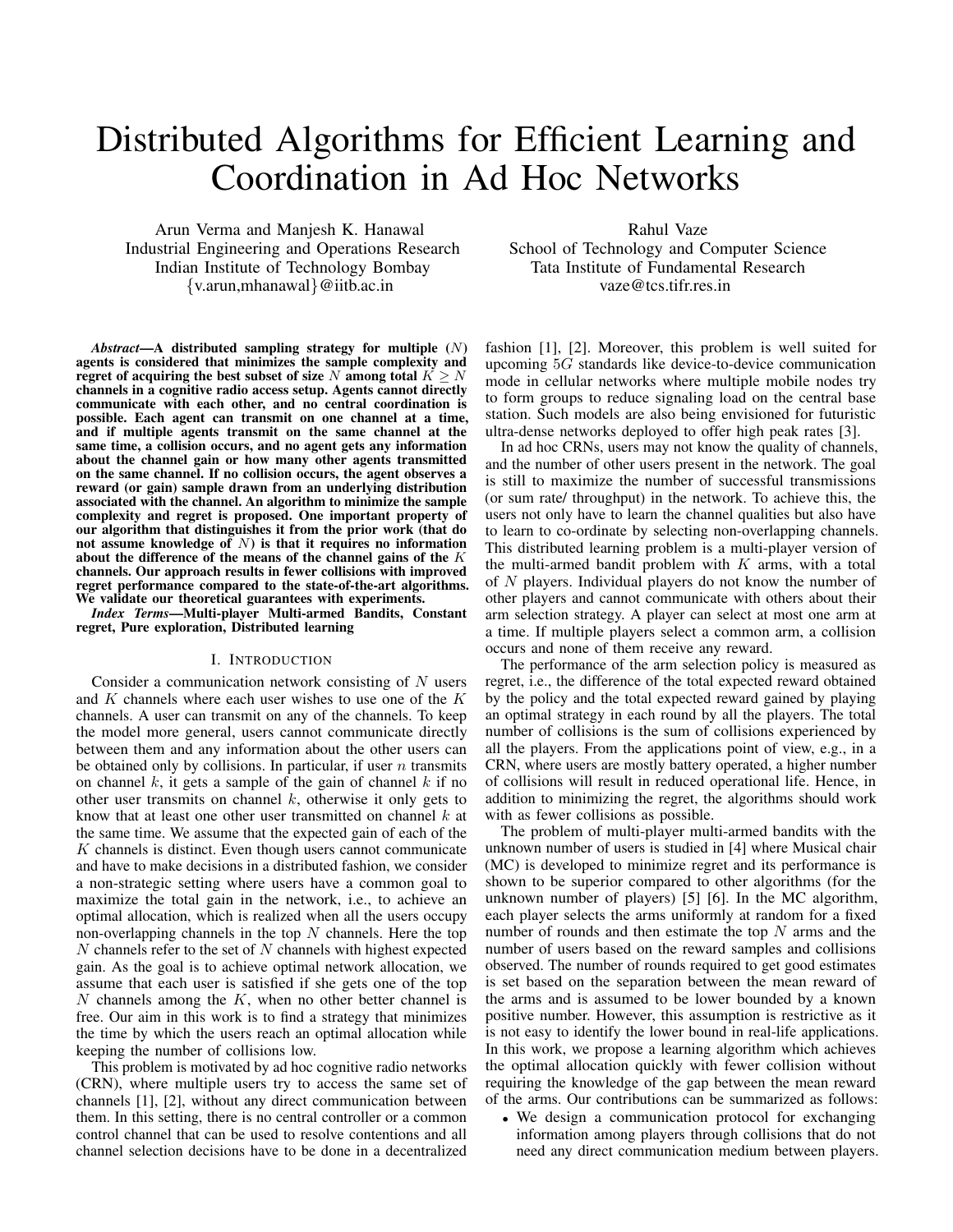# Distributed Algorithms for Efficient Learning and Coordination in Ad Hoc Networks

Arun Verma and Manjesh K. Hanawal Industrial Engineering and Operations Research Indian Institute of Technology Bombay {v.arun,mhanawal}@iitb.ac.in

*Abstract*—A distributed sampling strategy for multiple (N) agents is considered that minimizes the sample complexity and regret of acquiring the best subset of size N among total  $K \geq N$ channels in a cognitive radio access setup. Agents cannot directly communicate with each other, and no central coordination is possible. Each agent can transmit on one channel at a time, and if multiple agents transmit on the same channel at the same time, a collision occurs, and no agent gets any information about the channel gain or how many other agents transmitted on the same channel. If no collision occurs, the agent observes a reward (or gain) sample drawn from an underlying distribution associated with the channel. An algorithm to minimize the sample complexity and regret is proposed. One important property of our algorithm that distinguishes it from the prior work (that do not assume knowledge of  $N$ ) is that it requires no information about the difference of the means of the channel gains of the  $K$ channels. Our approach results in fewer collisions with improved regret performance compared to the state-of-the-art algorithms. We validate our theoretical guarantees with experiments.

*Index Terms*—Multi-player Multi-armed Bandits, Constant regret, Pure exploration, Distributed learning

#### I. INTRODUCTION

Consider a communication network consisting of  $N$  users and  $K$  channels where each user wishes to use one of the  $K$ channels. A user can transmit on any of the channels. To keep the model more general, users cannot communicate directly between them and any information about the other users can be obtained only by collisions. In particular, if user  $n$  transmits on channel  $k$ , it gets a sample of the gain of channel  $k$  if no other user transmits on channel  $k$ , otherwise it only gets to know that at least one other user transmitted on channel  $k$  at the same time. We assume that the expected gain of each of the  $K$  channels is distinct. Even though users cannot communicate and have to make decisions in a distributed fashion, we consider a non-strategic setting where users have a common goal to maximize the total gain in the network, i.e., to achieve an optimal allocation, which is realized when all the users occupy non-overlapping channels in the top  $N$  channels. Here the top  $N$  channels refer to the set of  $N$  channels with highest expected gain. As the goal is to achieve optimal network allocation, we assume that each user is satisfied if she gets one of the top  $N$  channels among the  $K$ , when no other better channel is free. Our aim in this work is to find a strategy that minimizes the time by which the users reach an optimal allocation while keeping the number of collisions low.

This problem is motivated by ad hoc cognitive radio networks (CRN), where multiple users try to access the same set of channels [1], [2], without any direct communication between them. In this setting, there is no central controller or a common control channel that can be used to resolve contentions and all channel selection decisions have to be done in a decentralized

Rahul Vaze School of Technology and Computer Science Tata Institute of Fundamental Research vaze@tcs.tifr.res.in

fashion [1], [2]. Moreover, this problem is well suited for upcoming 5G standards like device-to-device communication mode in cellular networks where multiple mobile nodes try to form groups to reduce signaling load on the central base station. Such models are also being envisioned for futuristic ultra-dense networks deployed to offer high peak rates [3].

In ad hoc CRNs, users may not know the quality of channels, and the number of other users present in the network. The goal is still to maximize the number of successful transmissions (or sum rate/ throughput) in the network. To achieve this, the users not only have to learn the channel qualities but also have to learn to co-ordinate by selecting non-overlapping channels. This distributed learning problem is a multi-player version of the multi-armed bandit problem with  $K$  arms, with a total of  $N$  players. Individual players do not know the number of other players and cannot communicate with others about their arm selection strategy. A player can select at most one arm at a time. If multiple players select a common arm, a collision occurs and none of them receive any reward.

The performance of the arm selection policy is measured as regret, i.e., the difference of the total expected reward obtained by the policy and the total expected reward gained by playing an optimal strategy in each round by all the players. The total number of collisions is the sum of collisions experienced by all the players. From the applications point of view, e.g., in a CRN, where users are mostly battery operated, a higher number of collisions will result in reduced operational life. Hence, in addition to minimizing the regret, the algorithms should work with as fewer collisions as possible.

The problem of multi-player multi-armed bandits with the unknown number of users is studied in [4] where Musical chair (MC) is developed to minimize regret and its performance is shown to be superior compared to other algorithms (for the unknown number of players) [5] [6]. In the MC algorithm, each player selects the arms uniformly at random for a fixed number of rounds and then estimate the top  $N$  arms and the number of users based on the reward samples and collisions observed. The number of rounds required to get good estimates is set based on the separation between the mean reward of the arms and is assumed to be lower bounded by a known positive number. However, this assumption is restrictive as it is not easy to identify the lower bound in real-life applications. In this work, we propose a learning algorithm which achieves the optimal allocation quickly with fewer collision without requiring the knowledge of the gap between the mean reward of the arms. Our contributions can be summarized as follows:

• We design a communication protocol for exchanging information among players through collisions that do not need any direct communication medium between players.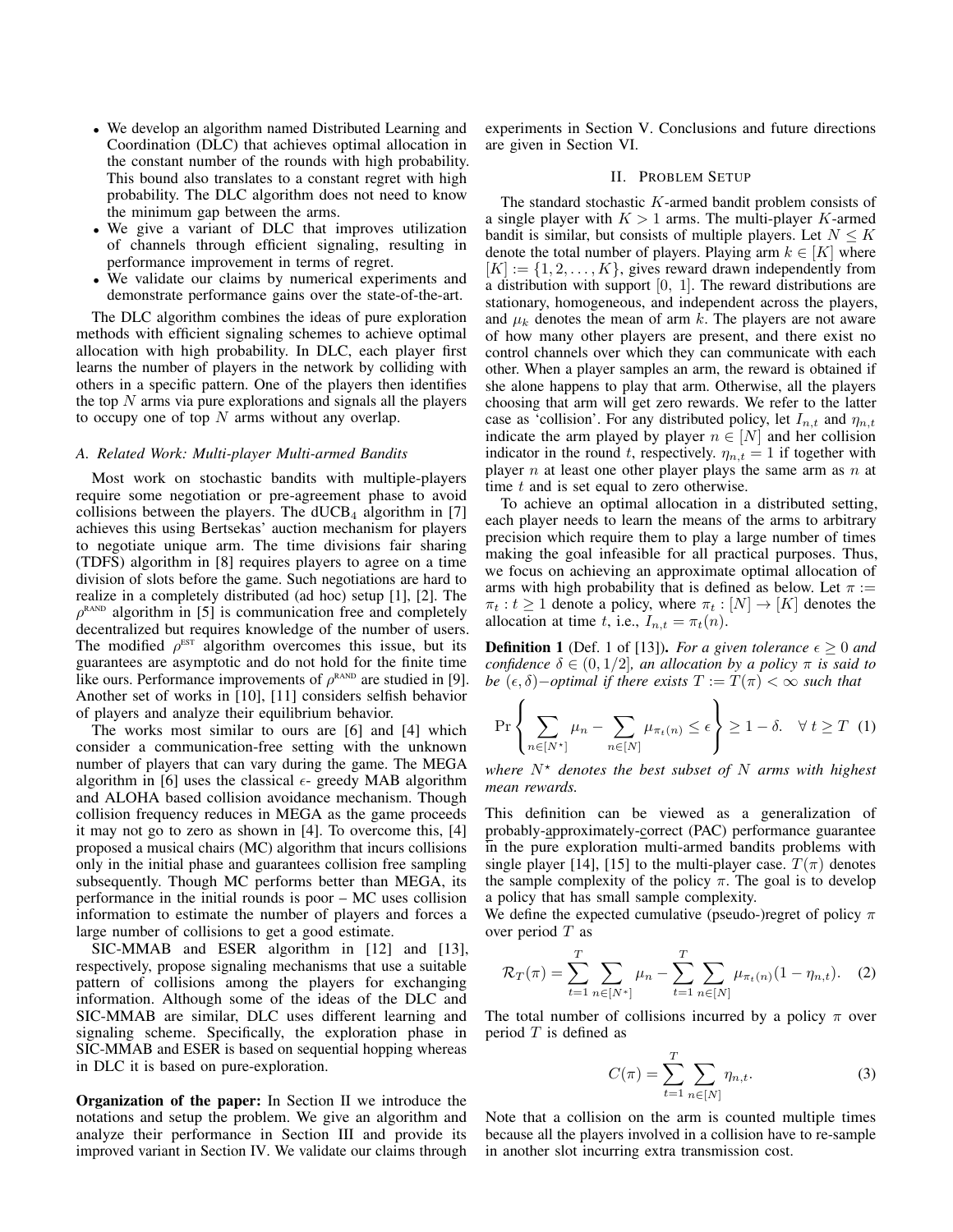- We develop an algorithm named Distributed Learning and Coordination (DLC) that achieves optimal allocation in the constant number of the rounds with high probability. This bound also translates to a constant regret with high probability. The DLC algorithm does not need to know the minimum gap between the arms.
- We give a variant of DLC that improves utilization of channels through efficient signaling, resulting in performance improvement in terms of regret.
- We validate our claims by numerical experiments and demonstrate performance gains over the state-of-the-art.

The DLC algorithm combines the ideas of pure exploration methods with efficient signaling schemes to achieve optimal allocation with high probability. In DLC, each player first learns the number of players in the network by colliding with others in a specific pattern. One of the players then identifies the top  $N$  arms via pure explorations and signals all the players to occupy one of top  $N$  arms without any overlap.

# *A. Related Work: Multi-player Multi-armed Bandits*

Most work on stochastic bandits with multiple-players require some negotiation or pre-agreement phase to avoid collisions between the players. The  $dUCB<sub>4</sub>$  algorithm in [7] achieves this using Bertsekas' auction mechanism for players to negotiate unique arm. The time divisions fair sharing (TDFS) algorithm in [8] requires players to agree on a time division of slots before the game. Such negotiations are hard to realize in a completely distributed (ad hoc) setup [1], [2]. The  $\rho^{\text{\tiny RAND}}$  algorithm in [5] is communication free and completely decentralized but requires knowledge of the number of users. The modified  $\rho^{\text{EST}}$  algorithm overcomes this issue, but its guarantees are asymptotic and do not hold for the finite time like ours. Performance improvements of  $\rho^{\text{RAND}}$  are studied in [9]. Another set of works in [10], [11] considers selfish behavior of players and analyze their equilibrium behavior.

The works most similar to ours are [6] and [4] which consider a communication-free setting with the unknown number of players that can vary during the game. The MEGA algorithm in [6] uses the classical  $\epsilon$ - greedy MAB algorithm and ALOHA based collision avoidance mechanism. Though collision frequency reduces in MEGA as the game proceeds it may not go to zero as shown in [4]. To overcome this, [4] proposed a musical chairs (MC) algorithm that incurs collisions only in the initial phase and guarantees collision free sampling subsequently. Though MC performs better than MEGA, its performance in the initial rounds is poor – MC uses collision information to estimate the number of players and forces a large number of collisions to get a good estimate.

SIC-MMAB and ESER algorithm in [12] and [13], respectively, propose signaling mechanisms that use a suitable pattern of collisions among the players for exchanging information. Although some of the ideas of the DLC and SIC-MMAB are similar, DLC uses different learning and signaling scheme. Specifically, the exploration phase in SIC-MMAB and ESER is based on sequential hopping whereas in DLC it is based on pure-exploration.

Organization of the paper: In Section II we introduce the notations and setup the problem. We give an algorithm and analyze their performance in Section III and provide its improved variant in Section IV. We validate our claims through experiments in Section V. Conclusions and future directions are given in Section VI.

# II. PROBLEM SETUP

The standard stochastic K-armed bandit problem consists of a single player with  $K > 1$  arms. The multi-player K-armed bandit is similar, but consists of multiple players. Let  $N \leq K$ denote the total number of players. Playing arm  $k \in [K]$  where  $[K] := \{1, 2, \ldots, K\}$ , gives reward drawn independently from a distribution with support [0, 1]. The reward distributions are stationary, homogeneous, and independent across the players, and  $\mu_k$  denotes the mean of arm k. The players are not aware of how many other players are present, and there exist no control channels over which they can communicate with each other. When a player samples an arm, the reward is obtained if she alone happens to play that arm. Otherwise, all the players choosing that arm will get zero rewards. We refer to the latter case as 'collision'. For any distributed policy, let  $I_{n,t}$  and  $\eta_{n,t}$ indicate the arm played by player  $n \in [N]$  and her collision indicator in the round t, respectively.  $\eta_{n,t} = 1$  if together with player  $n$  at least one other player plays the same arm as  $n$  at time  $t$  and is set equal to zero otherwise.

To achieve an optimal allocation in a distributed setting, each player needs to learn the means of the arms to arbitrary precision which require them to play a large number of times making the goal infeasible for all practical purposes. Thus, we focus on achieving an approximate optimal allocation of arms with high probability that is defined as below. Let  $\pi$  :=  $\pi_t : t \geq 1$  denote a policy, where  $\pi_t : [N] \to [K]$  denotes the allocation at time t, i.e.,  $I_{n,t} = \pi_t(n)$ .

**Definition 1** (Def. 1 of [13]). *For a given tolerance*  $\epsilon \geq 0$  *and confidence*  $\delta \in (0, 1/2]$ *, an allocation by a policy*  $\pi$  *is said to be*  $(\epsilon, \delta)$ –*optimal if there exists*  $T := T(\pi) < \infty$  *such that* 

$$
\Pr\left\{\sum_{n\in[N^{\star}]}\mu_n - \sum_{n\in[N]}\mu_{\pi_t(n)} \leq \epsilon\right\} \geq 1 - \delta. \quad \forall \ t \geq T \tag{1}
$$

*where*  $N^*$  *denotes the best subset of* N *arms with highest mean rewards.*

This definition can be viewed as a generalization of probably-approximately-correct (PAC) performance guarantee in the pure exploration multi-armed bandits problems with single player [14], [15] to the multi-player case.  $T(\pi)$  denotes the sample complexity of the policy  $\pi$ . The goal is to develop a policy that has small sample complexity.

We define the expected cumulative (pseudo-)regret of policy  $\pi$ over period  $T$  as

$$
\mathcal{R}_T(\pi) = \sum_{t=1}^T \sum_{n \in [N^*]} \mu_n - \sum_{t=1}^T \sum_{n \in [N]} \mu_{\pi_t(n)} (1 - \eta_{n,t}). \quad (2)
$$

The total number of collisions incurred by a policy  $\pi$  over period  $T$  is defined as

$$
C(\pi) = \sum_{t=1}^{T} \sum_{n \in [N]} \eta_{n,t}.
$$
 (3)

Note that a collision on the arm is counted multiple times because all the players involved in a collision have to re-sample in another slot incurring extra transmission cost.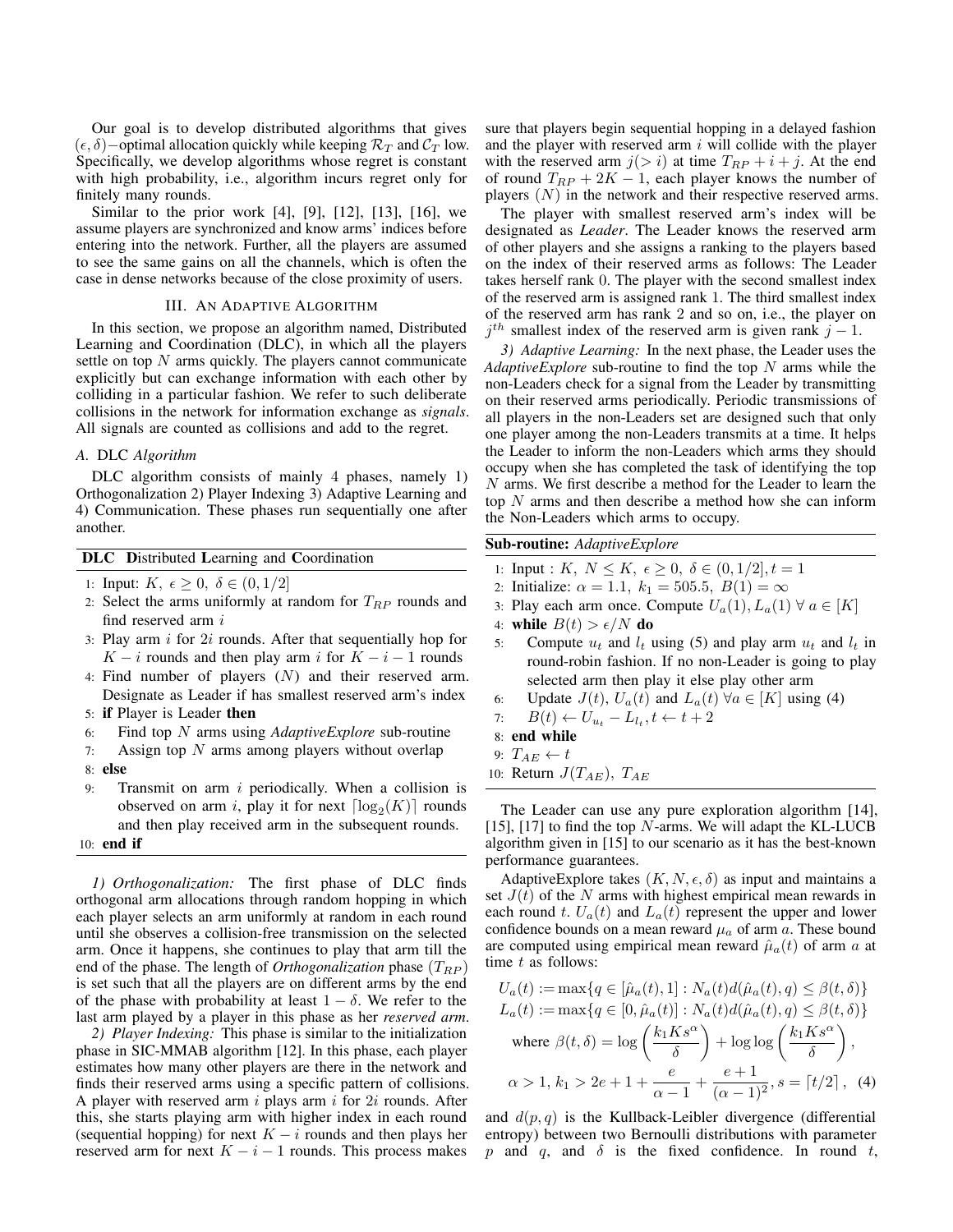Our goal is to develop distributed algorithms that gives  $(\epsilon, \delta)$ −optimal allocation quickly while keeping  $\mathcal{R}_T$  and  $\mathcal{C}_T$  low. Specifically, we develop algorithms whose regret is constant with high probability, i.e., algorithm incurs regret only for finitely many rounds.

Similar to the prior work [4], [9], [12], [13], [16], we assume players are synchronized and know arms' indices before entering into the network. Further, all the players are assumed to see the same gains on all the channels, which is often the case in dense networks because of the close proximity of users.

### III. AN ADAPTIVE ALGORITHM

In this section, we propose an algorithm named, Distributed Learning and Coordination (DLC), in which all the players settle on top  $N$  arms quickly. The players cannot communicate explicitly but can exchange information with each other by colliding in a particular fashion. We refer to such deliberate collisions in the network for information exchange as *signals*. All signals are counted as collisions and add to the regret.

## *A.* DLC *Algorithm*

DLC algorithm consists of mainly 4 phases, namely 1) Orthogonalization 2) Player Indexing 3) Adaptive Learning and 4) Communication. These phases run sequentially one after another.

# DLC Distributed Learning and Coordination

1: Input:  $K, \epsilon \geq 0, \delta \in (0, 1/2]$ 

- 2: Select the arms uniformly at random for  $T_{RP}$  rounds and find reserved arm i
- 3: Play arm  $i$  for  $2i$  rounds. After that sequentially hop for  $K - i$  rounds and then play arm i for  $K - i - 1$  rounds
- 4: Find number of players  $(N)$  and their reserved arm. Designate as Leader if has smallest reserved arm's index
- 5: if Player is Leader then
- 6: Find top N arms using *AdaptiveExplore* sub-routine
- 7: Assign top  $N$  arms among players without overlap
- 8: else
- 9: Transmit on arm  $i$  periodically. When a collision is observed on arm i, play it for next  $\lceil \log_2(K) \rceil$  rounds and then play received arm in the subsequent rounds. 10: end if

*1) Orthogonalization:* The first phase of DLC finds orthogonal arm allocations through random hopping in which each player selects an arm uniformly at random in each round until she observes a collision-free transmission on the selected arm. Once it happens, she continues to play that arm till the end of the phase. The length of *Orthogonalization* phase  $(T_{RP})$ is set such that all the players are on different arms by the end of the phase with probability at least  $1 - \delta$ . We refer to the last arm played by a player in this phase as her *reserved arm*.

*2) Player Indexing:* This phase is similar to the initialization phase in SIC-MMAB algorithm [12]. In this phase, each player estimates how many other players are there in the network and finds their reserved arms using a specific pattern of collisions. A player with reserved arm  $i$  plays arm  $i$  for  $2i$  rounds. After this, she starts playing arm with higher index in each round (sequential hopping) for next  $K - i$  rounds and then plays her reserved arm for next  $K - i - 1$  rounds. This process makes

sure that players begin sequential hopping in a delayed fashion and the player with reserved arm  $i$  will collide with the player with the reserved arm  $j(> i)$  at time  $T_{RP} + i + j$ . At the end of round  $T_{RP} + 2K - 1$ , each player knows the number of players  $(N)$  in the network and their respective reserved arms.

The player with smallest reserved arm's index will be designated as *Leader*. The Leader knows the reserved arm of other players and she assigns a ranking to the players based on the index of their reserved arms as follows: The Leader takes herself rank 0. The player with the second smallest index of the reserved arm is assigned rank 1. The third smallest index of the reserved arm has rank 2 and so on, i.e., the player on  $j<sup>th</sup>$  smallest index of the reserved arm is given rank  $j-1$ .

*3) Adaptive Learning:* In the next phase, the Leader uses the *AdaptiveExplore* sub-routine to find the top N arms while the non-Leaders check for a signal from the Leader by transmitting on their reserved arms periodically. Periodic transmissions of all players in the non-Leaders set are designed such that only one player among the non-Leaders transmits at a time. It helps the Leader to inform the non-Leaders which arms they should occupy when she has completed the task of identifying the top N arms. We first describe a method for the Leader to learn the top N arms and then describe a method how she can inform the Non-Leaders which arms to occupy.

# Sub-routine: *AdaptiveExplore*

- 1: Input :  $K, N \leq K, \epsilon \geq 0, \delta \in (0, 1/2], t = 1$
- 2: Initialize:  $\alpha = 1.1, k_1 = 505.5, B(1) = \infty$
- 3: Play each arm once. Compute  $U_a(1)$ ,  $L_a(1)$   $\forall a \in [K]$
- 4: while  $B(t) > \epsilon/N$  do
- 5: Compute  $u_t$  and  $l_t$  using (5) and play arm  $u_t$  and  $l_t$  in round-robin fashion. If no non-Leader is going to play selected arm then play it else play other arm
- 6: Update  $J(t)$ ,  $U_a(t)$  and  $L_a(t)$   $\forall a \in [K]$  using (4)
- 7:  $B(t) \leftarrow U_{u_t} L_{l_t}, t \leftarrow t + 2$
- 8: end while
- 9:  $T_{AE} \leftarrow t$
- 10: Return  $J(T_{AE})$ ,  $T_{AE}$

The Leader can use any pure exploration algorithm [14], [15], [17] to find the top  $N$ -arms. We will adapt the KL-LUCB algorithm given in [15] to our scenario as it has the best-known performance guarantees.

AdaptiveExplore takes  $(K, N, \epsilon, \delta)$  as input and maintains a set  $J(t)$  of the N arms with highest empirical mean rewards in each round t.  $U_a(t)$  and  $L_a(t)$  represent the upper and lower confidence bounds on a mean reward  $\mu_a$  of arm a. These bound are computed using empirical mean reward  $\hat{\mu}_a(t)$  of arm a at time  $t$  as follows:

$$
U_a(t) := \max\{q \in [\hat{\mu}_a(t), 1] : N_a(t)d(\hat{\mu}_a(t), q) \leq \beta(t, \delta)\}
$$
  
\n
$$
L_a(t) := \max\{q \in [0, \hat{\mu}_a(t)] : N_a(t)d(\hat{\mu}_a(t), q) \leq \beta(t, \delta)\}
$$
  
\nwhere  $\beta(t, \delta) = \log\left(\frac{k_1Ks^{\alpha}}{\delta}\right) + \log\log\left(\frac{k_1Ks^{\alpha}}{\delta}\right)$ ,  
\n $\alpha > 1, k_1 > 2e + 1 + \frac{e}{\alpha - 1} + \frac{e + 1}{(\alpha - 1)^2}, s = \lceil t/2 \rceil$ , (4)

and  $d(p, q)$  is the Kullback-Leibler divergence (differential entropy) between two Bernoulli distributions with parameter p and q, and  $\delta$  is the fixed confidence. In round t,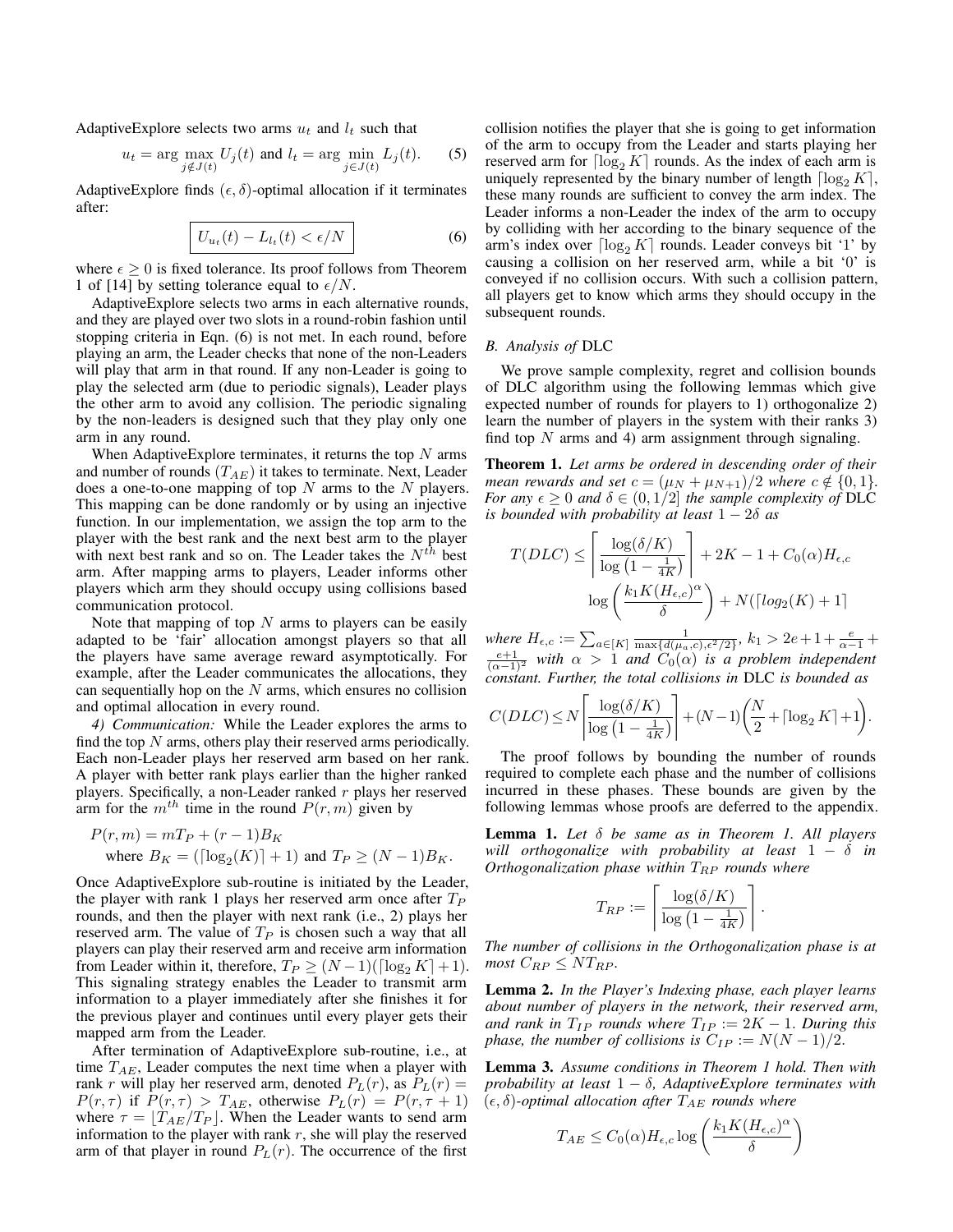AdaptiveExplore selects two arms  $u_t$  and  $l_t$  such that

$$
u_t = \arg\max_{j \notin J(t)} U_j(t) \text{ and } l_t = \arg\min_{j \in J(t)} L_j(t). \tag{5}
$$

AdaptiveExplore finds  $(\epsilon, \delta)$ -optimal allocation if it terminates after:

$$
U_{u_t}(t) - L_{l_t}(t) < \epsilon/N \tag{6}
$$

where  $\epsilon > 0$  is fixed tolerance. Its proof follows from Theorem 1 of [14] by setting tolerance equal to  $\epsilon/N$ .

AdaptiveExplore selects two arms in each alternative rounds, and they are played over two slots in a round-robin fashion until stopping criteria in Eqn. (6) is not met. In each round, before playing an arm, the Leader checks that none of the non-Leaders will play that arm in that round. If any non-Leader is going to play the selected arm (due to periodic signals), Leader plays the other arm to avoid any collision. The periodic signaling by the non-leaders is designed such that they play only one arm in any round.

When Adaptive Explore terminates, it returns the top  $N$  arms and number of rounds  $(T_{AE})$  it takes to terminate. Next, Leader does a one-to-one mapping of top  $N$  arms to the  $N$  players. This mapping can be done randomly or by using an injective function. In our implementation, we assign the top arm to the player with the best rank and the next best arm to the player with next best rank and so on. The Leader takes the  $N^{th}$  best arm. After mapping arms to players, Leader informs other players which arm they should occupy using collisions based communication protocol.

Note that mapping of top  $N$  arms to players can be easily adapted to be 'fair' allocation amongst players so that all the players have same average reward asymptotically. For example, after the Leader communicates the allocations, they can sequentially hop on the  $N$  arms, which ensures no collision and optimal allocation in every round.

*4) Communication:* While the Leader explores the arms to find the top  $N$  arms, others play their reserved arms periodically. Each non-Leader plays her reserved arm based on her rank. A player with better rank plays earlier than the higher ranked players. Specifically, a non-Leader ranked  $r$  plays her reserved arm for the  $m^{th}$  time in the round  $P(r, m)$  given by

$$
P(r, m) = mT_P + (r - 1)B_K
$$
  
where  $B_K = (\lceil \log_2(K) \rceil + 1)$  and  $T_P \ge (N - 1)B_K$ .

Once AdaptiveExplore sub-routine is initiated by the Leader, the player with rank 1 plays her reserved arm once after  $T_P$ rounds, and then the player with next rank (i.e., 2) plays her reserved arm. The value of  $T_P$  is chosen such a way that all players can play their reserved arm and receive arm information from Leader within it, therefore,  $T_P \geq (N-1)(\lceil \log_2 K \rceil + 1)$ . This signaling strategy enables the Leader to transmit arm information to a player immediately after she finishes it for the previous player and continues until every player gets their mapped arm from the Leader.

After termination of AdaptiveExplore sub-routine, i.e., at time  $T_{AE}$ , Leader computes the next time when a player with rank r will play her reserved arm, denoted  $P_L(r)$ , as  $P_L(r)$  =  $P(r,\tau)$  if  $P(r,\tau) > T_{AE}$ , otherwise  $P_L(r) = P(r,\tau+1)$ where  $\tau = [T_{AE}/T_P]$ . When the Leader wants to send arm information to the player with rank  $r$ , she will play the reserved arm of that player in round  $P_L(r)$ . The occurrence of the first collision notifies the player that she is going to get information of the arm to occupy from the Leader and starts playing her reserved arm for  $\lceil \log_2 K \rceil$  rounds. As the index of each arm is uniquely represented by the binary number of length  $\lceil \log_2 K \rceil$ , these many rounds are sufficient to convey the arm index. The Leader informs a non-Leader the index of the arm to occupy by colliding with her according to the binary sequence of the arm's index over  $\lceil \log_2 K \rceil$  rounds. Leader conveys bit '1' by causing a collision on her reserved arm, while a bit '0' is conveyed if no collision occurs. With such a collision pattern, all players get to know which arms they should occupy in the subsequent rounds.

## *B. Analysis of* DLC

We prove sample complexity, regret and collision bounds of DLC algorithm using the following lemmas which give expected number of rounds for players to 1) orthogonalize 2) learn the number of players in the system with their ranks 3) find top  $N$  arms and 4) arm assignment through signaling.

Theorem 1. *Let arms be ordered in descending order of their mean rewards and set*  $c = (\mu_N + \mu_{N+1})/2$  *where*  $c \notin \{0, 1\}$ *. For any*  $\epsilon \geq 0$  *and*  $\delta \in (0,1/2]$  *the sample complexity of* DLC *is bounded with probability at least*  $1 - 2\delta$  *as* 

$$
T(DLC) \le \left\lceil \frac{\log(\delta/K)}{\log(1 - \frac{1}{4K})} \right\rceil + 2K - 1 + C_0(\alpha)H_{\epsilon,c}
$$

$$
\log\left(\frac{k_1 K(H_{\epsilon,c})^{\alpha}}{\delta}\right) + N(\lceil \log_2(K) + 1 \rceil)
$$

*where*  $H_{\epsilon,c} := \sum_{a \in [K]} \frac{1}{\max\{d(\mu_a,c), \epsilon^2/2\}}, k_1 > 2e+1+\frac{e}{\alpha-1}+\frac{e+1}{(\alpha-1)^2}$  *with*  $\alpha > 1$  *and*  $C_0(\alpha)$  *is a problem independent constant. Further, the total collisions in* DLC *is bounded as*

$$
C(DLC) \le N \left\lceil \frac{\log(\delta/K)}{\log\left(1 - \frac{1}{4K}\right)} \right\rceil + (N-1) \left(\frac{N}{2} + \left\lceil \log_2 K \right\rceil + 1\right).
$$

The proof follows by bounding the number of rounds required to complete each phase and the number of collisions incurred in these phases. These bounds are given by the following lemmas whose proofs are deferred to the appendix.

Lemma 1. *Let* δ *be same as in Theorem 1. All players will orthogonalize with probability at least* 1 − δ *in Orthogonalization phase within*  $T_{RP}$  *rounds where* 

$$
T_{RP} := \left\lceil \frac{\log(\delta/K)}{\log(1 - \frac{1}{4K})} \right\rceil.
$$

*The number of collisions in the Orthogonalization phase is at most*  $C_{RP} \leq NT_{RP}$ *.* 

Lemma 2. *In the Player's Indexing phase, each player learns about number of players in the network, their reserved arm, and rank in*  $T_{IP}$  *rounds where*  $T_{IP} := 2K - 1$ *. During this phase, the number of collisions is*  $C_{IP} := N(N-1)/2$ .

Lemma 3. *Assume conditions in Theorem 1 hold. Then with probability at least* 1 − δ*, AdaptiveExplore terminates with*  $(\epsilon, \delta)$ -optimal allocation after  $T_{AE}$  rounds where

$$
T_{AE} \leq C_0(\alpha) H_{\epsilon,c} \log \left( \frac{k_1 K (H_{\epsilon,c})^{\alpha}}{\delta} \right)
$$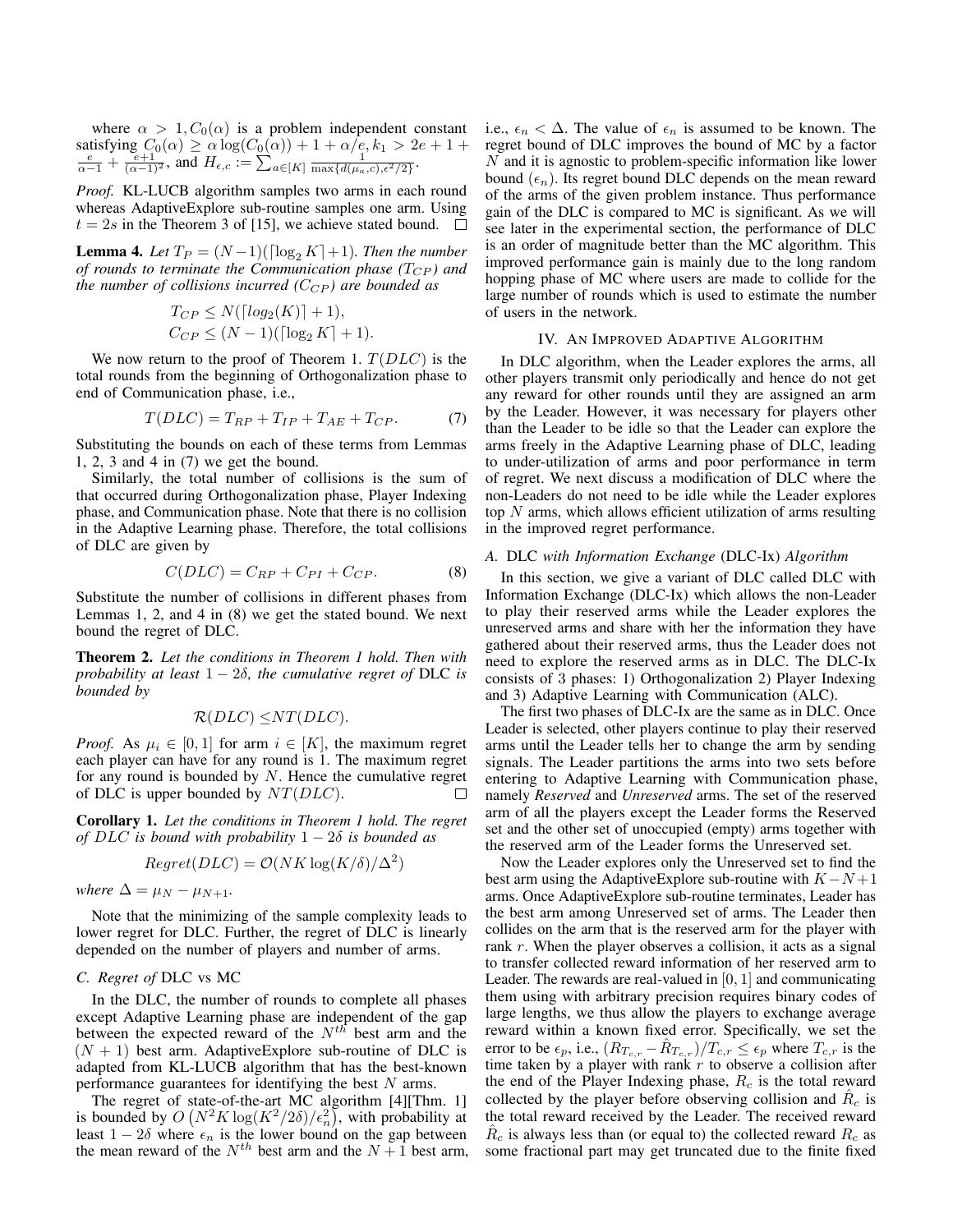where  $\alpha > 1, C_0(\alpha)$  is a problem independent constant satisfying  $C_0(\alpha) \ge \alpha \log(C_0(\alpha)) + 1 + \alpha/e, k_1 > 2e + 1 + \frac{e}{\alpha - 1} + \frac{e+1}{(\alpha - 1)^2}$ , and  $H_{\epsilon,c} := \sum_{a \in [K]} \frac{1}{\max\{d(\mu_a, c), \epsilon^2/2\}}$ .

*Proof.* KL-LUCB algorithm samples two arms in each round whereas AdaptiveExplore sub-routine samples one arm. Using  $t = 2s$  in the Theorem 3 of [15], we achieve stated bound.  $\Box$ 

**Lemma 4.** Let  $T_P = (N-1)(\lceil \log_2 K \rceil + 1)$ . Then the number *of rounds to terminate the Communication phase*  $(T_{CP})$  *and the number of collisions incurred*  $(C_{CP})$  *are bounded as* 

$$
T_{CP} \le N(\lceil log_2(K) \rceil + 1),
$$
  
\n
$$
C_{CP} \le (N - 1)(\lceil log_2 K \rceil + 1).
$$

We now return to the proof of Theorem 1.  $T(DLC)$  is the total rounds from the beginning of Orthogonalization phase to end of Communication phase, i.e.,

$$
T(DLC) = T_{RP} + T_{IP} + T_{AE} + T_{CP}.
$$
 (7)

Substituting the bounds on each of these terms from Lemmas 1, 2, 3 and 4 in (7) we get the bound.

Similarly, the total number of collisions is the sum of that occurred during Orthogonalization phase, Player Indexing phase, and Communication phase. Note that there is no collision in the Adaptive Learning phase. Therefore, the total collisions of DLC are given by

$$
C(DLC) = C_{RP} + C_{PI} + C_{CP}.
$$
 (8)

Substitute the number of collisions in different phases from Lemmas 1, 2, and 4 in (8) we get the stated bound. We next bound the regret of DLC.

Theorem 2. *Let the conditions in Theorem 1 hold. Then with probability at least*  $1 - 2\delta$ *, the cumulative regret of DLC is bounded by*

$$
\mathcal{R}(DLC) \leq NT(DLC).
$$

*Proof.* As  $\mu_i \in [0, 1]$  for arm  $i \in [K]$ , the maximum regret each player can have for any round is 1. The maximum regret for any round is bounded by  $N$ . Hence the cumulative regret of DLC is upper bounded by  $NT(DLC)$ .  $\Box$ 

Corollary 1. *Let the conditions in Theorem 1 hold. The regret of* DLC *is bound with probability* 1 − 2δ *is bounded as*

$$
Regret(DLC) = \mathcal{O}(NK \log(K/\delta)/\Delta^2)
$$

*where*  $\Delta = \mu_N - \mu_{N+1}$ .

Note that the minimizing of the sample complexity leads to lower regret for DLC. Further, the regret of DLC is linearly depended on the number of players and number of arms.

# *C. Regret of* DLC vs MC

In the DLC, the number of rounds to complete all phases except Adaptive Learning phase are independent of the gap between the expected reward of the  $N^{th}$  best arm and the  $(N + 1)$  best arm. Adaptive Explore sub-routine of DLC is adapted from KL-LUCB algorithm that has the best-known performance guarantees for identifying the best  $N$  arms.

The regret of state-of-the-art MC algorithm [4][Thm. 1] is bounded by  $O(N^2K\log(K^2/2\delta)/\epsilon_n^2)$ , with probability at least  $1 - 2\delta$  where  $\epsilon_n$  is the lower bound on the gap between the mean reward of the  $N^{th}$  best arm and the  $N + 1$  best arm, i.e.,  $\epsilon_n < \Delta$ . The value of  $\epsilon_n$  is assumed to be known. The regret bound of DLC improves the bound of MC by a factor  $N$  and it is agnostic to problem-specific information like lower bound  $(\epsilon_n)$ . Its regret bound DLC depends on the mean reward of the arms of the given problem instance. Thus performance gain of the DLC is compared to MC is significant. As we will see later in the experimental section, the performance of DLC is an order of magnitude better than the MC algorithm. This improved performance gain is mainly due to the long random hopping phase of MC where users are made to collide for the large number of rounds which is used to estimate the number of users in the network.

# IV. AN IMPROVED ADAPTIVE ALGORITHM

In DLC algorithm, when the Leader explores the arms, all other players transmit only periodically and hence do not get any reward for other rounds until they are assigned an arm by the Leader. However, it was necessary for players other than the Leader to be idle so that the Leader can explore the arms freely in the Adaptive Learning phase of DLC, leading to under-utilization of arms and poor performance in term of regret. We next discuss a modification of DLC where the non-Leaders do not need to be idle while the Leader explores top  $N$  arms, which allows efficient utilization of arms resulting in the improved regret performance.

## *A.* DLC *with Information Exchange* (DLC-Ix) *Algorithm*

In this section, we give a variant of DLC called DLC with Information Exchange (DLC-Ix) which allows the non-Leader to play their reserved arms while the Leader explores the unreserved arms and share with her the information they have gathered about their reserved arms, thus the Leader does not need to explore the reserved arms as in DLC. The DLC-Ix consists of 3 phases: 1) Orthogonalization 2) Player Indexing and 3) Adaptive Learning with Communication (ALC).

The first two phases of DLC-Ix are the same as in DLC. Once Leader is selected, other players continue to play their reserved arms until the Leader tells her to change the arm by sending signals. The Leader partitions the arms into two sets before entering to Adaptive Learning with Communication phase, namely *Reserved* and *Unreserved* arms. The set of the reserved arm of all the players except the Leader forms the Reserved set and the other set of unoccupied (empty) arms together with the reserved arm of the Leader forms the Unreserved set.

Now the Leader explores only the Unreserved set to find the best arm using the AdaptiveExplore sub-routine with  $K-N+1$ arms. Once AdaptiveExplore sub-routine terminates, Leader has the best arm among Unreserved set of arms. The Leader then collides on the arm that is the reserved arm for the player with rank r. When the player observes a collision, it acts as a signal to transfer collected reward information of her reserved arm to Leader. The rewards are real-valued in  $[0, 1]$  and communicating them using with arbitrary precision requires binary codes of large lengths, we thus allow the players to exchange average reward within a known fixed error. Specifically, we set the error to be  $\epsilon_p$ , i.e.,  $(R_{T_{c,r}} - \hat{R}_{T_{c,r}})/T_{c,r} \leq \epsilon_p$  where  $T_{c,r}$  is the time taken by a player with rank  $r$  to observe a collision after the end of the Player Indexing phase,  $R_c$  is the total reward collected by the player before observing collision and  $\hat{R}_c$  is the total reward received by the Leader. The received reward  $\hat{R}_c$  is always less than (or equal to) the collected reward  $R_c$  as some fractional part may get truncated due to the finite fixed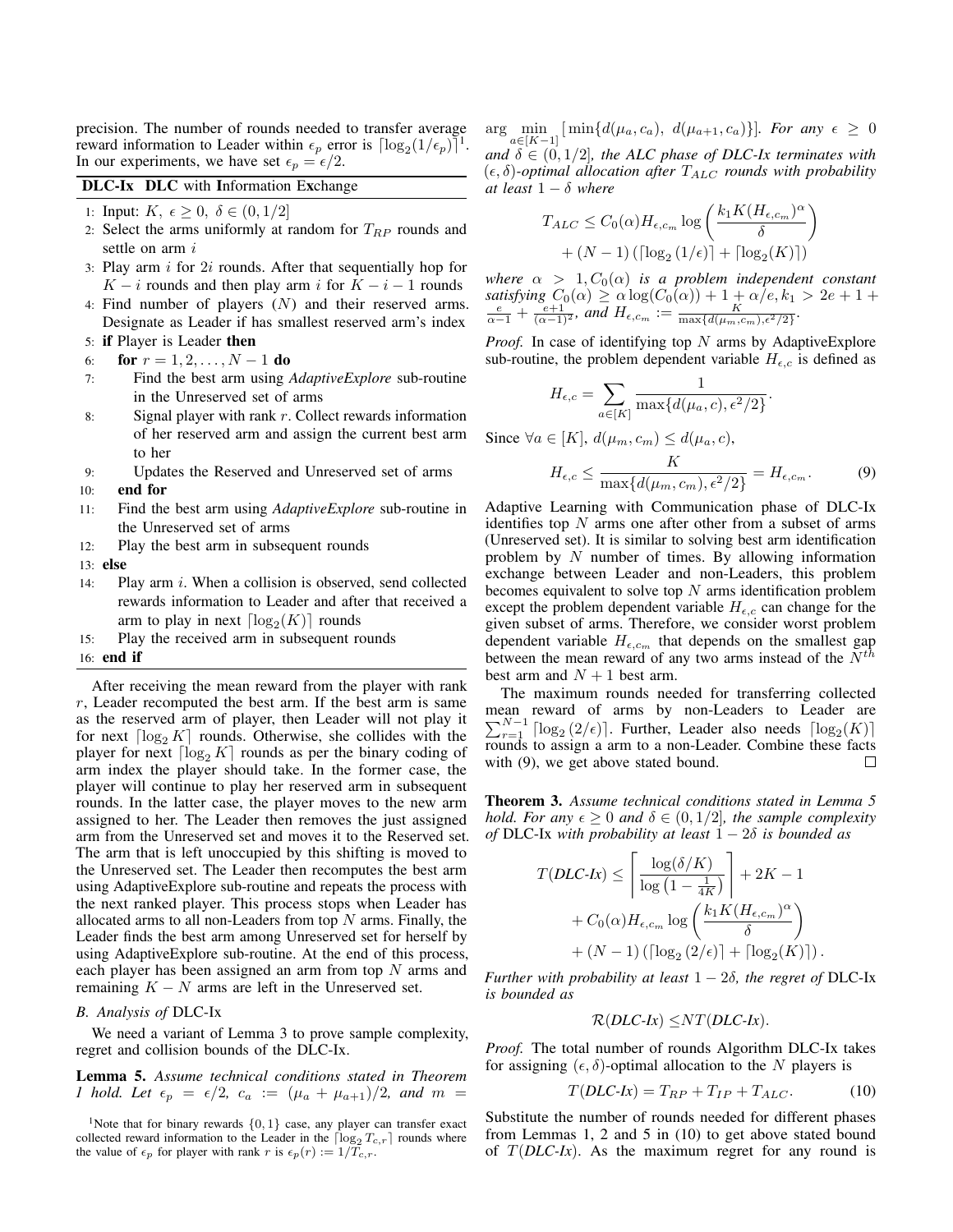precision. The number of rounds needed to transfer average reward information to Leader within  $\epsilon_p$  error is  $\lceil \log_2(1/\epsilon_p) \rceil^1$ . In our experiments, we have set  $\epsilon_p = \epsilon/2$ .

DLC-Ix DLC with Information Exchange

- 1: Input:  $K, \epsilon \geq 0, \delta \in (0, 1/2]$
- 2: Select the arms uniformly at random for  $T_{RP}$  rounds and settle on arm i
- 3: Play arm  $i$  for  $2i$  rounds. After that sequentially hop for  $K - i$  rounds and then play arm i for  $K - i - 1$  rounds
- 4: Find number of players (N) and their reserved arms. Designate as Leader if has smallest reserved arm's index
- 5: if Player is Leader then
- 6: **for**  $r = 1, 2, ..., N 1$  **do**
- 7: Find the best arm using *AdaptiveExplore* sub-routine in the Unreserved set of arms
- 8: Signal player with rank  $r$ . Collect rewards information of her reserved arm and assign the current best arm to her
- 9: Updates the Reserved and Unreserved set of arms
- 10: end for
- 11: Find the best arm using *AdaptiveExplore* sub-routine in the Unreserved set of arms
- 12: Play the best arm in subsequent rounds
- 13: else
- 14: Play arm i. When a collision is observed, send collected rewards information to Leader and after that received a arm to play in next  $\lceil \log_2(K) \rceil$  rounds
- 15: Play the received arm in subsequent rounds

# 16: end if

After receiving the mean reward from the player with rank  $r$ , Leader recomputed the best arm. If the best arm is same as the reserved arm of player, then Leader will not play it for next  $\lceil \log_2 K \rceil$  rounds. Otherwise, she collides with the player for next  $\lceil \log_2 K \rceil$  rounds as per the binary coding of arm index the player should take. In the former case, the player will continue to play her reserved arm in subsequent rounds. In the latter case, the player moves to the new arm assigned to her. The Leader then removes the just assigned arm from the Unreserved set and moves it to the Reserved set. The arm that is left unoccupied by this shifting is moved to the Unreserved set. The Leader then recomputes the best arm using AdaptiveExplore sub-routine and repeats the process with the next ranked player. This process stops when Leader has allocated arms to all non-Leaders from top  $N$  arms. Finally, the Leader finds the best arm among Unreserved set for herself by using AdaptiveExplore sub-routine. At the end of this process, each player has been assigned an arm from top  $N$  arms and remaining  $K - N$  arms are left in the Unreserved set.

## *B. Analysis of* DLC-Ix

We need a variant of Lemma 3 to prove sample complexity, regret and collision bounds of the DLC-Ix.

# Lemma 5. *Assume technical conditions stated in Theorem 1 hold. Let*  $\epsilon_p = \epsilon/2$ ,  $c_a := (\mu_a + \mu_{a+1})/2$ , and  $m =$

 $\arg \min_{a \in [K-1]} [\min \{d(\mu_a, c_a), d(\mu_{a+1}, c_a)\}]$ *. For any*  $\epsilon \ge 0$ *and*  $\delta \in (0, 1/2]$ *, the ALC phase of DLC-Ix terminates with*  $(\epsilon, \delta)$ -optimal allocation after  $T_{ALC}$  rounds with probability *at least*  $1 - \delta$  *where* 

$$
T_{ALC} \leq C_0(\alpha) H_{\epsilon, c_m} \log \left( \frac{k_1 K (H_{\epsilon, c_m})^{\alpha}}{\delta} \right)
$$

$$
+ (N - 1) \left( \lceil \log_2 (1/\epsilon) \rceil + \lceil \log_2 (K) \rceil \right)
$$

*where*  $\alpha > 1, C_0(\alpha)$  *is a problem independent constant satisfying*  $C_0(\alpha) \ge \alpha \log(C_0(\alpha)) + 1 + \alpha/e, k_1 > 2e + 1 + \frac{e}{\alpha - 1} + \frac{e+1}{(\alpha - 1)^2}$ , and  $H_{\epsilon, c_m} := \frac{\max\{d(\mu_m, c_m), \epsilon^2/2\}}{\max\{d(\mu_m, c_m), \epsilon^2/2\}}$ .

*Proof.* In case of identifying top N arms by AdaptiveExplore sub-routine, the problem dependent variable  $H_{\epsilon,c}$  is defined as

$$
H_{\epsilon,c} = \sum_{a \in [K]} \frac{1}{\max\{d(\mu_a, c), \epsilon^2/2\}}.
$$

Since  $\forall a \in [K], d(\mu_m, c_m) \leq d(\mu_a, c),$ 

$$
H_{\epsilon,c} \le \frac{K}{\max\{d(\mu_m,c_m),\epsilon^2/2\}} = H_{\epsilon,c_m}.
$$
 (9)

Adaptive Learning with Communication phase of DLC-Ix identifies top  $N$  arms one after other from a subset of arms (Unreserved set). It is similar to solving best arm identification problem by  $N$  number of times. By allowing information exchange between Leader and non-Leaders, this problem becomes equivalent to solve top  $N$  arms identification problem except the problem dependent variable  $H_{\epsilon,c}$  can change for the given subset of arms. Therefore, we consider worst problem dependent variable  $H_{\epsilon,c_m}$  that depends on the smallest gap between the mean reward of any two arms instead of the  $N^{th}$ best arm and  $N + 1$  best arm.

The maximum rounds needed for transferring collected mean reward of arms by non-Leaders to Leader are  $\sum_{r=1}^{N-1} \lceil \log_2\left(2/\epsilon\right) \rceil$ . Further, Leader also needs  $\lceil \log_2(K) \rceil$ rounds to assign a arm to a non-Leader. Combine these facts with  $(9)$ , we get above stated bound.  $\Box$ 

Theorem 3. *Assume technical conditions stated in Lemma 5 hold. For any*  $\epsilon \geq 0$  *and*  $\delta \in (0,1/2]$ *, the sample complexity of* DLC-Ix *with probability at least* 1 − 2δ *is bounded as*

$$
T(DLC\text{-}lx) \le \left\lceil \frac{\log(\delta/K)}{\log\left(1 - \frac{1}{4K}\right)} \right\rceil + 2K - 1
$$

$$
+ C_0(\alpha) H_{\epsilon,c_m} \log\left(\frac{k_1 K (H_{\epsilon,c_m})^{\alpha}}{\delta}\right)
$$

$$
+ (N - 1) \left(\lceil \log_2\left(2/\epsilon\right) \rceil + \lceil \log_2(K) \rceil\right).
$$

*Further with probability at least*  $1 - 2\delta$ *, the regret of* DLC-Ix *is bounded as*

$$
\mathcal{R}(DLC\text{-}Ix) \leq NT(DLC\text{-}Ix).
$$

*Proof.* The total number of rounds Algorithm DLC-Ix takes for assigning  $(\epsilon, \delta)$ -optimal allocation to the N players is

$$
T(DLC\text{-}lx) = T_{RP} + T_{IP} + T_{ALC}.\tag{10}
$$

Substitute the number of rounds needed for different phases from Lemmas 1, 2 and 5 in (10) to get above stated bound of  $T(DLC-Ix)$ . As the maximum regret for any round is

<sup>&</sup>lt;sup>1</sup>Note that for binary rewards  $\{0, 1\}$  case, any player can transfer exact collected reward information to the Leader in the  $\lceil \log_2 T_{c,r} \rceil$  rounds where the value of  $\epsilon_p$  for player with rank r is  $\epsilon_p(r) := 1/T_{c,r}$ .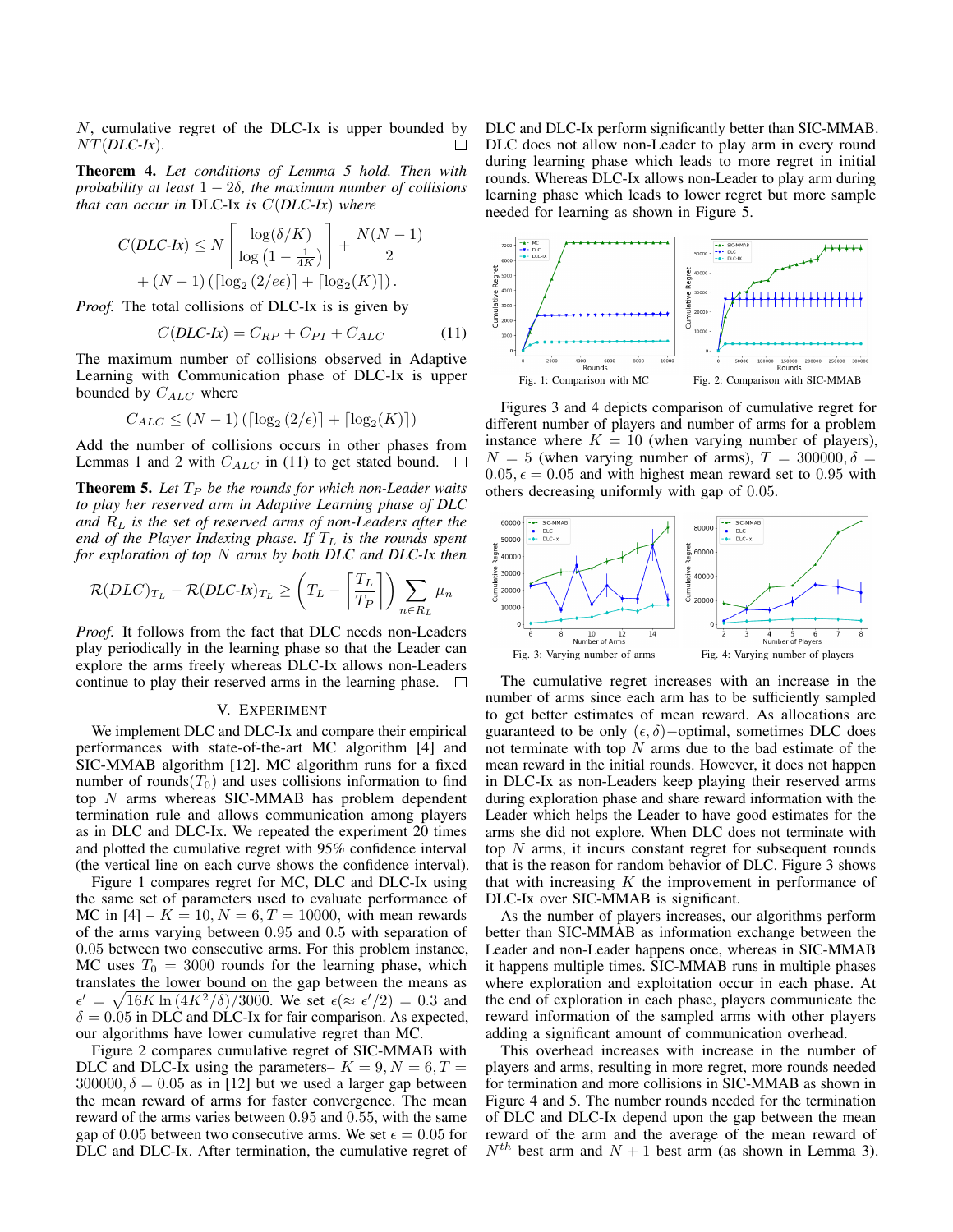N, cumulative regret of the DLC-Ix is upper bounded by NT(*DLC-Ix*). П

Theorem 4. *Let conditions of Lemma 5 hold. Then with probability at least* 1 − 2δ*, the maximum number of collisions that can occur in* DLC-Ix *is* C(*DLC-Ix*) *where*

$$
C(DLC\text{-}lx) \le N \left\lceil \frac{\log(\delta/K)}{\log(1 - \frac{1}{4K})} \right\rceil + \frac{N(N-1)}{2} + (N-1) \left( \lceil \log_2(2/\epsilon \epsilon) \rceil + \lceil \log_2(K) \rceil \right).
$$

*Proof.* The total collisions of DLC-Ix is is given by

$$
C(DLC\text{-}lx) = C_{RP} + C_{PI} + C_{ALC} \tag{11}
$$

The maximum number of collisions observed in Adaptive Learning with Communication phase of DLC-Ix is upper bounded by  $C_{ALC}$  where

$$
C_{ALC} \le (N-1) \left( \lceil \log_2\left(2/\epsilon\right) \rceil + \lceil \log_2(K) \rceil \right)
$$

Add the number of collisions occurs in other phases from Lemmas 1 and 2 with  $C_{ALC}$  in (11) to get stated bound.  $\square$ 

**Theorem 5.** Let  $T_P$  be the rounds for which non-Leader waits *to play her reserved arm in Adaptive Learning phase of DLC and* R<sup>L</sup> *is the set of reserved arms of non-Leaders after the end of the Player Indexing phase. If* T<sup>L</sup> *is the rounds spent for exploration of top* N *arms by both DLC and DLC-Ix then*

$$
\mathcal{R}(DLC)_{T_L} - \mathcal{R}(DLC\text{-}lx)_{T_L} \ge \left(T_L - \left\lceil \frac{T_L}{T_P} \right\rceil \right) \sum_{n \in R_L} \mu_n
$$

*Proof.* It follows from the fact that DLC needs non-Leaders play periodically in the learning phase so that the Leader can explore the arms freely whereas DLC-Ix allows non-Leaders continue to play their reserved arms in the learning phase.  $\Box$ 

#### V. EXPERIMENT

We implement DLC and DLC-Ix and compare their empirical performances with state-of-the-art MC algorithm [4] and SIC-MMAB algorithm [12]. MC algorithm runs for a fixed number of rounds( $T_0$ ) and uses collisions information to find top  $N$  arms whereas SIC-MMAB has problem dependent termination rule and allows communication among players as in DLC and DLC-Ix. We repeated the experiment 20 times and plotted the cumulative regret with 95% confidence interval (the vertical line on each curve shows the confidence interval).

Figure 1 compares regret for MC, DLC and DLC-Ix using the same set of parameters used to evaluate performance of MC in [4] –  $K = 10, N = 6, T = 10000$ , with mean rewards of the arms varying between 0.95 and 0.5 with separation of 0.05 between two consecutive arms. For this problem instance, MC uses  $T_0 = 3000$  rounds for the learning phase, which translates the lower bound on the gap between the means as  $\epsilon' = \sqrt{16K \ln(4K^2/\delta)/3000}$ . We set  $\epsilon (\approx \epsilon'/2) = 0.3$  and  $\delta = 0.05$  in DLC and DLC-Ix for fair comparison. As expected, our algorithms have lower cumulative regret than MC.

Figure 2 compares cumulative regret of SIC-MMAB with DLC and DLC-Ix using the parameters–  $K = 9, N = 6, T =$ 300000,  $\delta = 0.05$  as in [12] but we used a larger gap between the mean reward of arms for faster convergence. The mean reward of the arms varies between 0.95 and 0.55, with the same gap of 0.05 between two consecutive arms. We set  $\epsilon = 0.05$  for DLC and DLC-Ix. After termination, the cumulative regret of DLC and DLC-Ix perform significantly better than SIC-MMAB. DLC does not allow non-Leader to play arm in every round during learning phase which leads to more regret in initial rounds. Whereas DLC-Ix allows non-Leader to play arm during learning phase which leads to lower regret but more sample needed for learning as shown in Figure 5.



Figures 3 and 4 depicts comparison of cumulative regret for different number of players and number of arms for a problem instance where  $K = 10$  (when varying number of players),  $N = 5$  (when varying number of arms),  $T = 300000, \delta =$  $0.05, \epsilon = 0.05$  and with highest mean reward set to 0.95 with others decreasing uniformly with gap of 0.05.



The cumulative regret increases with an increase in the number of arms since each arm has to be sufficiently sampled to get better estimates of mean reward. As allocations are guaranteed to be only  $(\epsilon, \delta)$ −optimal, sometimes DLC does not terminate with top  $N$  arms due to the bad estimate of the mean reward in the initial rounds. However, it does not happen in DLC-Ix as non-Leaders keep playing their reserved arms during exploration phase and share reward information with the Leader which helps the Leader to have good estimates for the arms she did not explore. When DLC does not terminate with top N arms, it incurs constant regret for subsequent rounds that is the reason for random behavior of DLC. Figure 3 shows that with increasing  $K$  the improvement in performance of DLC-Ix over SIC-MMAB is significant.

As the number of players increases, our algorithms perform better than SIC-MMAB as information exchange between the Leader and non-Leader happens once, whereas in SIC-MMAB it happens multiple times. SIC-MMAB runs in multiple phases where exploration and exploitation occur in each phase. At the end of exploration in each phase, players communicate the reward information of the sampled arms with other players adding a significant amount of communication overhead.

This overhead increases with increase in the number of players and arms, resulting in more regret, more rounds needed for termination and more collisions in SIC-MMAB as shown in Figure 4 and 5. The number rounds needed for the termination of DLC and DLC-Ix depend upon the gap between the mean reward of the arm and the average of the mean reward of  $N^{th}$  best arm and  $N + 1$  best arm (as shown in Lemma 3).